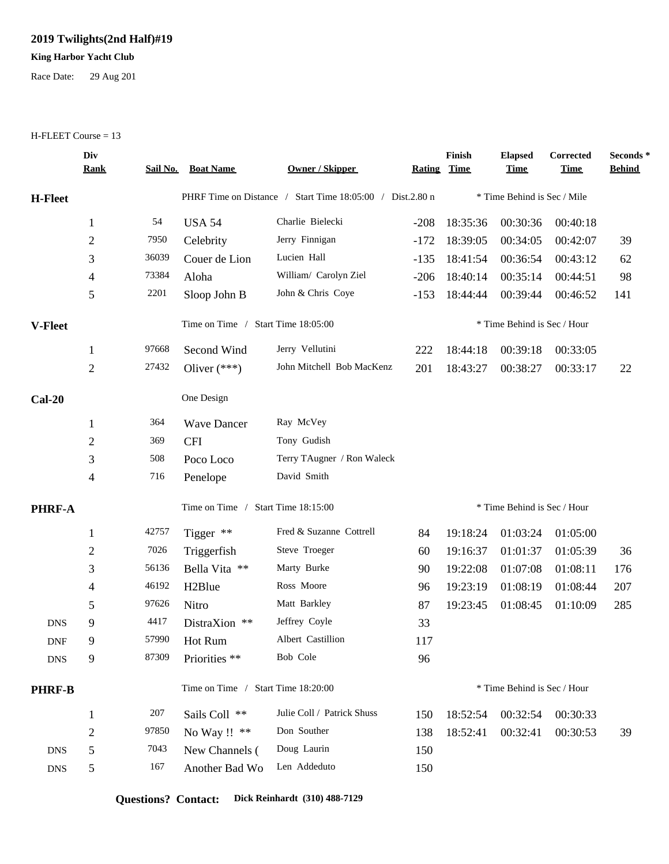## **2019 Twilights(2nd Half)#19**

## **King Harbor Yacht Club**

Race Date: 29 Aug 201

## H-FLEET Course = 13

|                | Div<br><u>Rank</u> | Sail No.                              | <b>Boat Name</b>                      | Owner / Skipper                                           | <b>Rating</b> | Finish<br><b>Time</b>       | <b>Elapsed</b><br><b>Time</b> | Corrected<br><b>Time</b> | Seconds *<br><b>Behind</b> |
|----------------|--------------------|---------------------------------------|---------------------------------------|-----------------------------------------------------------|---------------|-----------------------------|-------------------------------|--------------------------|----------------------------|
| <b>H-Fleet</b> |                    |                                       |                                       | PHRF Time on Distance / Start Time 18:05:00 / Dist.2.80 n |               |                             | * Time Behind is Sec / Mile   |                          |                            |
|                | 1                  | 54                                    | <b>USA 54</b>                         | Charlie Bielecki                                          | $-208$        | 18:35:36                    | 00:30:36                      | 00:40:18                 |                            |
|                | $\mathbf{2}$       | 7950                                  | Celebrity                             | Jerry Finnigan                                            | $-172$        | 18:39:05                    | 00:34:05                      | 00:42:07                 | 39                         |
|                | 3                  | 36039                                 | Couer de Lion                         | Lucien Hall                                               | $-135$        | 18:41:54                    | 00:36:54                      | 00:43:12                 | 62                         |
|                | 4                  | 73384                                 | Aloha                                 | William/ Carolyn Ziel                                     | $-206$        | 18:40:14                    | 00:35:14                      | 00:44:51                 | 98                         |
|                | 5                  | 2201                                  | Sloop John B                          | John & Chris Coye                                         | $-153$        | 18:44:44                    | 00:39:44                      | 00:46:52                 | 141                        |
| <b>V-Fleet</b> |                    |                                       | Start Time 18:05:00<br>Time on Time / |                                                           |               | * Time Behind is Sec / Hour |                               |                          |                            |
|                | $\mathbf{1}$       | 97668                                 | Second Wind                           | Jerry Vellutini                                           | 222           | 18:44:18                    | 00:39:18                      | 00:33:05                 |                            |
|                | $\overline{c}$     | 27432                                 | Oliver $(***)$                        | John Mitchell Bob MacKenz                                 | 201           | 18:43:27                    | 00:38:27                      | 00:33:17                 | 22                         |
| $Cal-20$       |                    |                                       | One Design                            |                                                           |               |                             |                               |                          |                            |
|                | $\mathbf{1}$       | 364                                   | <b>Wave Dancer</b>                    | Ray McVey                                                 |               |                             |                               |                          |                            |
|                | $\overline{c}$     | 369                                   | <b>CFI</b>                            | Tony Gudish                                               |               |                             |                               |                          |                            |
|                | 3                  | 508                                   | Poco Loco                             | Terry TAugner / Ron Waleck                                |               |                             |                               |                          |                            |
|                | 4                  | 716                                   | Penelope                              | David Smith                                               |               |                             |                               |                          |                            |
| <b>PHRF-A</b>  |                    | Time on Time /<br>Start Time 18:15:00 |                                       |                                                           |               | * Time Behind is Sec / Hour |                               |                          |                            |
|                | $\mathbf{1}$       | 42757                                 | Tigger **                             | Fred & Suzanne Cottrell                                   | 84            | 19:18:24                    | 01:03:24                      | 01:05:00                 |                            |
|                | 2                  | 7026                                  | Triggerfish                           | Steve Troeger                                             | 60            | 19:16:37                    | 01:01:37                      | 01:05:39                 | 36                         |
|                | 3                  | 56136                                 | Bella Vita **                         | Marty Burke                                               | 90            | 19:22:08                    | 01:07:08                      | 01:08:11                 | 176                        |
|                | 4                  | 46192                                 | H <sub>2</sub> Blue                   | Ross Moore                                                | 96            | 19:23:19                    | 01:08:19                      | 01:08:44                 | 207                        |
|                | 5                  | 97626                                 | Nitro                                 | Matt Barkley                                              | 87            | 19:23:45                    | 01:08:45                      | 01:10:09                 | 285                        |
| <b>DNS</b>     | 9                  | 4417                                  | DistraXion **                         | Jeffrey Coyle                                             | 33            |                             |                               |                          |                            |
| <b>DNF</b>     | 9                  | 57990                                 | Hot Rum                               | Albert Castillion                                         | 117           |                             |                               |                          |                            |
| <b>DNS</b>     | 9                  | 87309                                 | Priorities **                         | Bob Cole                                                  | 96            |                             |                               |                          |                            |
| <b>PHRF-B</b>  |                    |                                       | Time on Time /<br>Start Time 18:20:00 |                                                           |               | * Time Behind is Sec / Hour |                               |                          |                            |
|                | $\mathbf{1}$       | 207                                   | Sails Coll **                         | Julie Coll / Patrick Shuss                                | 150           | 18:52:54                    | 00:32:54                      | 00:30:33                 |                            |
|                | $\overline{2}$     | 97850                                 | No Way !! **                          | Don Souther                                               | 138           | 18:52:41                    | 00:32:41                      | 00:30:53                 | 39                         |
| <b>DNS</b>     | 5                  | 7043                                  | New Channels (                        | Doug Laurin                                               | 150           |                             |                               |                          |                            |
| <b>DNS</b>     | 5                  | 167                                   | Another Bad Wo                        | Len Addeduto                                              | 150           |                             |                               |                          |                            |
|                |                    |                                       |                                       |                                                           |               |                             |                               |                          |                            |

**Questions? Contact: Dick Reinhardt (310) 488-7129**